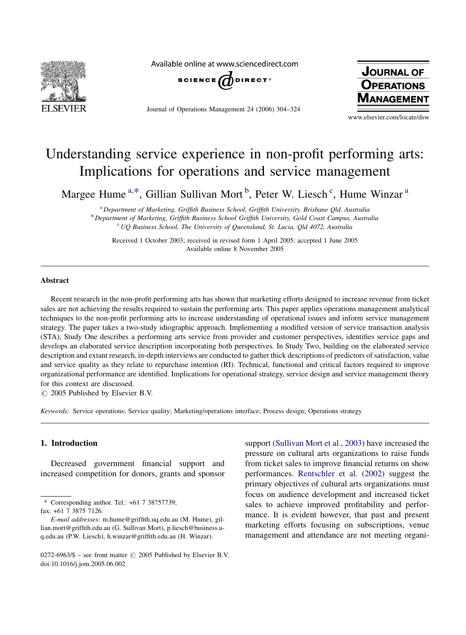

Available online at www.sciencedirect.com



Journal of Operations Management 24 (2006) 304–324



www.elsevier.com/locate/dsw

## Understanding service experience in non-profit performing arts: Implications for operations and service management

Margee Hume <sup>a,\*</sup>, Gillian Sullivan Mort <sup>b</sup>, Peter W. Liesch <sup>c</sup>, Hume Winzar <sup>a</sup>

<sup>a</sup> Department of Marketing, Griffith Business School, Griffith University, Brisbane Qld, Australia <sup>b</sup> Department of Marketing, Griffith Business School Griffith University, Gold Coast Campus, Australia  $c$  UQ Business School, The University of Queensland, St. Lucia, Qld 4072, Australia

Received 1 October 2003; received in revised form 1 April 2005; accepted 1 June 2005 Available online 8 November 2005

## Abstract

Recent research in the non-profit performing arts has shown that marketing efforts designed to increase revenue from ticket sales are not achieving the results required to sustain the performing arts. This paper applies operations management analytical techniques to the non-profit performing arts to increase understanding of operational issues and inform service management strategy. The paper takes a two-study idiographic approach. Implementing a modified version of service transaction analysis (STA), Study One describes a performing arts service from provider and customer perspectives, identifies service gaps and develops an elaborated service description incorporating both perspectives. In Study Two, building on the elaborated service description and extant research, in-depth interviews are conducted to gather thick descriptions of predictors of satisfaction, value and service quality as they relate to repurchase intention (RI). Technical, functional and critical factors required to improve organizational performance are identified. Implications for operational strategy, service design and service management theory for this context are discussed.

 $\circ$  2005 Published by Elsevier B.V.

Keywords: Service operations; Service quality; Marketing/operations interface; Process design; Operations strategy

## 1. Introduction

Decreased government financial support and increased competition for donors, grants and sponsor support ([Sullivan Mort et al., 2003](#page--1-0)) have increased the pressure on cultural arts organizations to raise funds from ticket sales to improve financial returns on show performances. [Rentschler et al. \(2002\)](#page--1-0) suggest the primary objectives of cultural arts organizations must focus on audience development and increased ticket sales to achieve improved profitability and performance. It is evident however, that past and present marketing efforts focusing on subscriptions, venue management and attendance are not meeting organi-

<sup>\*</sup> Corresponding author. Tel.: +61 7 38757739;

fax: +61 7 3875 7126.

E-mail addresses: m.hume@griffith.uq.edu.au (M. Hume), gillian.mort@griffith.edu.au (G. Sullivan Mort), p.liesch@business.uq.edu.au (P.W. Liesch), h.winzar@griffith.edu.au (H. Winzar).

<sup>0272-6963/\$ –</sup> see front matter  $\odot$  2005 Published by Elsevier B.V. doi:10.1016/j.jom.2005.06.002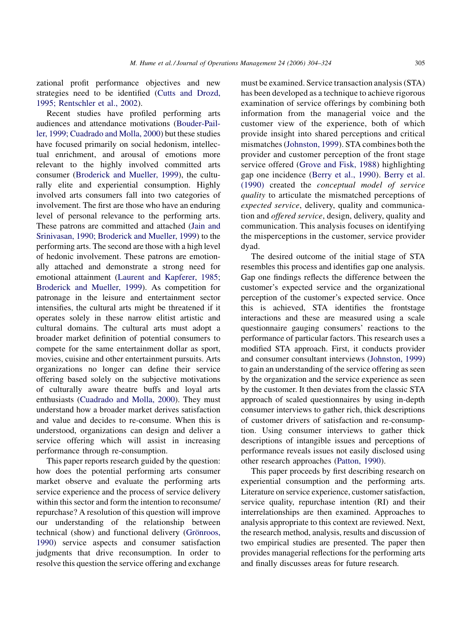zational profit performance objectives and new strategies need to be identified [\(Cutts and Drozd,](#page--1-0) [1995; Rentschler et al., 2002\)](#page--1-0).

Recent studies have profiled performing arts audiences and attendance motivations [\(Bouder-Pail](#page--1-0)[ler, 1999; Cuadrado and Molla, 2000\)](#page--1-0) but these studies have focused primarily on social hedonism, intellectual enrichment, and arousal of emotions more relevant to the highly involved committed arts consumer ([Broderick and Mueller, 1999\)](#page--1-0), the culturally elite and experiential consumption. Highly involved arts consumers fall into two categories of involvement. The first are those who have an enduring level of personal relevance to the performing arts. These patrons are committed and attached ([Jain and](#page--1-0) [Srinivasan, 1990; Broderick and Mueller, 1999\)](#page--1-0) to the performing arts. The second are those with a high level of hedonic involvement. These patrons are emotionally attached and demonstrate a strong need for emotional attainment ([Laurent and Kapferer, 1985;](#page--1-0) [Broderick and Mueller, 1999](#page--1-0)). As competition for patronage in the leisure and entertainment sector intensifies, the cultural arts might be threatened if it operates solely in these narrow elitist artistic and cultural domains. The cultural arts must adopt a broader market definition of potential consumers to compete for the same entertainment dollar as sport, movies, cuisine and other entertainment pursuits. Arts organizations no longer can define their service offering based solely on the subjective motivations of culturally aware theatre buffs and loyal arts enthusiasts [\(Cuadrado and Molla, 2000](#page--1-0)). They must understand how a broader market derives satisfaction and value and decides to re-consume. When this is understood, organizations can design and deliver a service offering which will assist in increasing performance through re-consumption.

This paper reports research guided by the question: how does the potential performing arts consumer market observe and evaluate the performing arts service experience and the process of service delivery within this sector and form the intention to reconsume/ repurchase? A resolution of this question will improve our understanding of the relationship between technical (show) and functional delivery (Grönroos, [1990](#page--1-0)) service aspects and consumer satisfaction judgments that drive reconsumption. In order to resolve this question the service offering and exchange

must be examined. Service transaction analysis (STA) has been developed as a technique to achieve rigorous examination of service offerings by combining both information from the managerial voice and the customer view of the experience, both of which provide insight into shared perceptions and critical mismatches ([Johnston, 1999\)](#page--1-0). STA combines both the provider and customer perception of the front stage service offered ([Grove and Fisk, 1988](#page--1-0)) highlighting gap one incidence ([Berry et al., 1990](#page--1-0)). [Berry et al.](#page--1-0) [\(1990\)](#page--1-0) created the conceptual model of service quality to articulate the mismatched perceptions of expected service, delivery, quality and communication and offered service, design, delivery, quality and communication. This analysis focuses on identifying the misperceptions in the customer, service provider dyad.

The desired outcome of the initial stage of STA resembles this process and identifies gap one analysis. Gap one findings reflects the difference between the customer's expected service and the organizational perception of the customer's expected service. Once this is achieved, STA identifies the frontstage interactions and these are measured using a scale questionnaire gauging consumers' reactions to the performance of particular factors. This research uses a modified STA approach. First, it conducts provider and consumer consultant interviews ([Johnston, 1999\)](#page--1-0) to gain an understanding of the service offering as seen by the organization and the service experience as seen by the customer. It then deviates from the classic STA approach of scaled questionnaires by using in-depth consumer interviews to gather rich, thick descriptions of customer drivers of satisfaction and re-consumption. Using consumer interviews to gather thick descriptions of intangible issues and perceptions of performance reveals issues not easily disclosed using other research approaches ([Patton, 1990](#page--1-0)).

This paper proceeds by first describing research on experiential consumption and the performing arts. Literature on service experience, customer satisfaction, service quality, repurchase intention (RI) and their interrelationships are then examined. Approaches to analysis appropriate to this context are reviewed. Next, the research method, analysis, results and discussion of two empirical studies are presented. The paper then provides managerial reflections for the performing arts and finally discusses areas for future research.